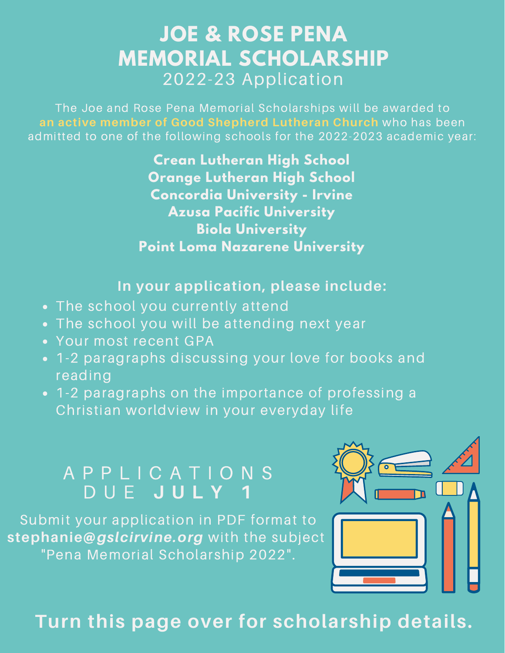## **JOE & ROSE PENA MEMORIAL SCHOLARSHIP** 2022-23 Application

The Joe and Rose Pena Memorial Scholarships will be awarded to **an active member of Good Shepherd Lutheran Church** who has been admitted to one of the following schools for the 2022-2023 academic year:

> **Crean Lutheran High School Orange Lutheran High School Concordia University - Irvine Azusa Pacific University Biola University Point Loma Nazarene University**

#### **In your application, please include:**

- . The school you currently attend
- The school you will be attending next year
- Your most recent GPA
- 1-2 paragraphs discussing your love for books and reading
- 1-2 paragraphs on the importance of professing a Christian worldview in your everyday life

### A P P L I C A T I O N S D U E **J U L Y 1**

Submit your application in PDF format to stephanie@gslcirvine.org with the subject "Pena Memorial Scholarship 2022".



# **Turn this page over for scholarship details.**